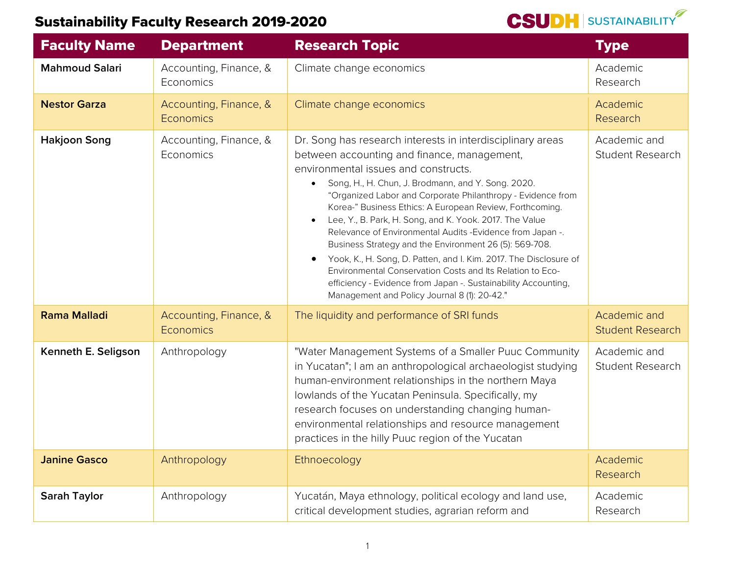

| <b>Faculty Name</b>   | <b>Department</b>                          | <b>Research Topic</b>                                                                                                                                                                                                                                                                                                                                                                                                                                                                                                                                                                                                                                                                                                                                                     | <b>Type</b>                             |
|-----------------------|--------------------------------------------|---------------------------------------------------------------------------------------------------------------------------------------------------------------------------------------------------------------------------------------------------------------------------------------------------------------------------------------------------------------------------------------------------------------------------------------------------------------------------------------------------------------------------------------------------------------------------------------------------------------------------------------------------------------------------------------------------------------------------------------------------------------------------|-----------------------------------------|
| <b>Mahmoud Salari</b> | Accounting, Finance, &<br>Economics        | Climate change economics                                                                                                                                                                                                                                                                                                                                                                                                                                                                                                                                                                                                                                                                                                                                                  | Academic<br>Research                    |
| <b>Nestor Garza</b>   | Accounting, Finance, &<br>Economics        | Climate change economics                                                                                                                                                                                                                                                                                                                                                                                                                                                                                                                                                                                                                                                                                                                                                  | Academic<br>Research                    |
| <b>Hakjoon Song</b>   | Accounting, Finance, &<br>Economics        | Dr. Song has research interests in interdisciplinary areas<br>between accounting and finance, management,<br>environmental issues and constructs.<br>Song, H., H. Chun, J. Brodmann, and Y. Song. 2020.<br>"Organized Labor and Corporate Philanthropy - Evidence from<br>Korea-" Business Ethics: A European Review, Forthcoming.<br>Lee, Y., B. Park, H. Song, and K. Yook. 2017. The Value<br>Relevance of Environmental Audits - Evidence from Japan -.<br>Business Strategy and the Environment 26 (5): 569-708.<br>Yook, K., H. Song, D. Patten, and I. Kim. 2017. The Disclosure of<br>Environmental Conservation Costs and Its Relation to Eco-<br>efficiency - Evidence from Japan -. Sustainability Accounting,<br>Management and Policy Journal 8 (1): 20-42." | Academic and<br><b>Student Research</b> |
| <b>Rama Malladi</b>   | Accounting, Finance, &<br><b>Economics</b> | The liquidity and performance of SRI funds                                                                                                                                                                                                                                                                                                                                                                                                                                                                                                                                                                                                                                                                                                                                | Academic and<br><b>Student Research</b> |
| Kenneth E. Seligson   | Anthropology                               | "Water Management Systems of a Smaller Puuc Community<br>in Yucatan"; I am an anthropological archaeologist studying<br>human-environment relationships in the northern Maya<br>lowlands of the Yucatan Peninsula. Specifically, my<br>research focuses on understanding changing human-<br>environmental relationships and resource management<br>practices in the hilly Puuc region of the Yucatan                                                                                                                                                                                                                                                                                                                                                                      | Academic and<br><b>Student Research</b> |
| <b>Janine Gasco</b>   | Anthropology                               | Ethnoecology                                                                                                                                                                                                                                                                                                                                                                                                                                                                                                                                                                                                                                                                                                                                                              | Academic<br>Research                    |
| <b>Sarah Taylor</b>   | Anthropology                               | Yucatán, Maya ethnology, political ecology and land use,<br>critical development studies, agrarian reform and                                                                                                                                                                                                                                                                                                                                                                                                                                                                                                                                                                                                                                                             | Academic<br>Research                    |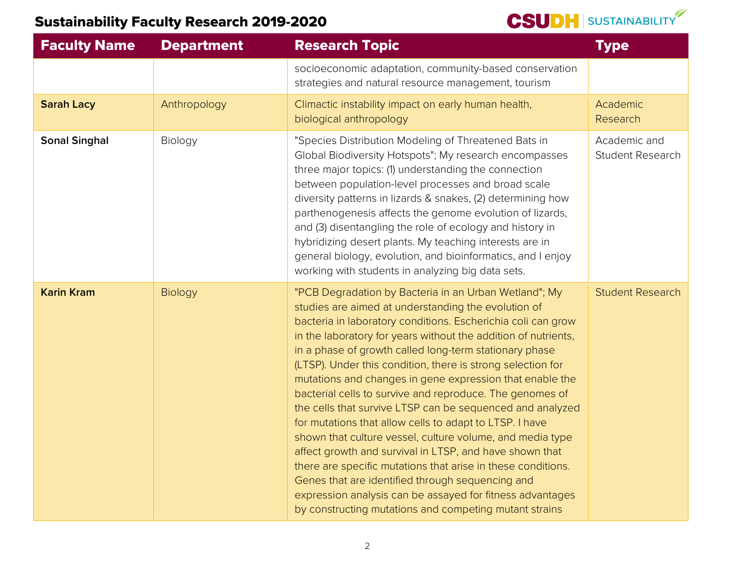| <b>Faculty Name</b>  | <b>Department</b> | <b>Research Topic</b>                                                                                                                                                                                                                                                                                                                                                                                                                                                                                                                                                                                                                                                                                                                                                                                                                                                                                                                                                                      | <b>Type</b>                             |
|----------------------|-------------------|--------------------------------------------------------------------------------------------------------------------------------------------------------------------------------------------------------------------------------------------------------------------------------------------------------------------------------------------------------------------------------------------------------------------------------------------------------------------------------------------------------------------------------------------------------------------------------------------------------------------------------------------------------------------------------------------------------------------------------------------------------------------------------------------------------------------------------------------------------------------------------------------------------------------------------------------------------------------------------------------|-----------------------------------------|
|                      |                   | socioeconomic adaptation, community-based conservation<br>strategies and natural resource management, tourism                                                                                                                                                                                                                                                                                                                                                                                                                                                                                                                                                                                                                                                                                                                                                                                                                                                                              |                                         |
| <b>Sarah Lacy</b>    | Anthropology      | Climactic instability impact on early human health,<br>biological anthropology                                                                                                                                                                                                                                                                                                                                                                                                                                                                                                                                                                                                                                                                                                                                                                                                                                                                                                             | Academic<br>Research                    |
| <b>Sonal Singhal</b> | Biology           | "Species Distribution Modeling of Threatened Bats in<br>Global Biodiversity Hotspots"; My research encompasses<br>three major topics: (1) understanding the connection<br>between population-level processes and broad scale<br>diversity patterns in lizards & snakes, (2) determining how<br>parthenogenesis affects the genome evolution of lizards,<br>and (3) disentangling the role of ecology and history in<br>hybridizing desert plants. My teaching interests are in<br>general biology, evolution, and bioinformatics, and I enjoy<br>working with students in analyzing big data sets.                                                                                                                                                                                                                                                                                                                                                                                         | Academic and<br><b>Student Research</b> |
| <b>Karin Kram</b>    | Biology           | "PCB Degradation by Bacteria in an Urban Wetland"; My<br>studies are aimed at understanding the evolution of<br>bacteria in laboratory conditions. Escherichia coli can grow<br>in the laboratory for years without the addition of nutrients,<br>in a phase of growth called long-term stationary phase<br>(LTSP). Under this condition, there is strong selection for<br>mutations and changes in gene expression that enable the<br>bacterial cells to survive and reproduce. The genomes of<br>the cells that survive LTSP can be sequenced and analyzed<br>for mutations that allow cells to adapt to LTSP. I have<br>shown that culture vessel, culture volume, and media type<br>affect growth and survival in LTSP, and have shown that<br>there are specific mutations that arise in these conditions.<br>Genes that are identified through sequencing and<br>expression analysis can be assayed for fitness advantages<br>by constructing mutations and competing mutant strains | <b>Student Research</b>                 |

**CSUDH** SUSTAINABILITY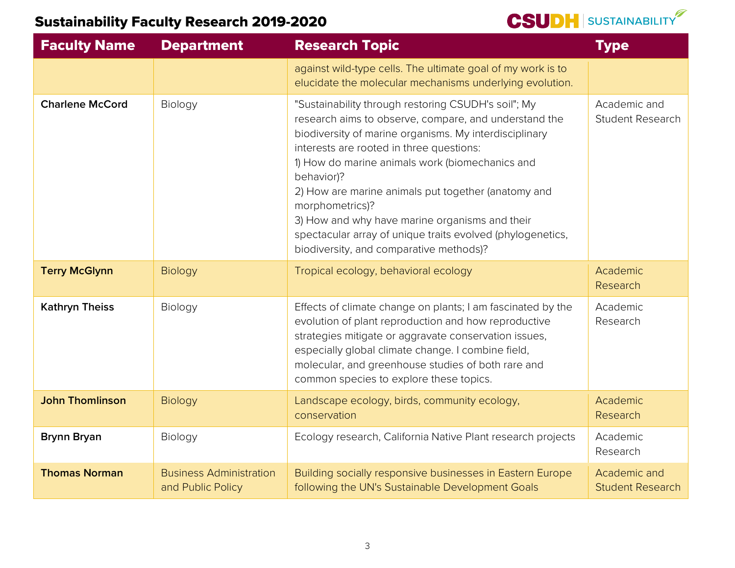| <b>Faculty Name</b>    | <b>Department</b>                                   | <b>Research Topic</b>                                                                                                                                                                                                                                                                                                                                                                                                                                                                                                    | <b>Type</b>                             |
|------------------------|-----------------------------------------------------|--------------------------------------------------------------------------------------------------------------------------------------------------------------------------------------------------------------------------------------------------------------------------------------------------------------------------------------------------------------------------------------------------------------------------------------------------------------------------------------------------------------------------|-----------------------------------------|
|                        |                                                     | against wild-type cells. The ultimate goal of my work is to<br>elucidate the molecular mechanisms underlying evolution.                                                                                                                                                                                                                                                                                                                                                                                                  |                                         |
| <b>Charlene McCord</b> | Biology                                             | "Sustainability through restoring CSUDH's soil"; My<br>research aims to observe, compare, and understand the<br>biodiversity of marine organisms. My interdisciplinary<br>interests are rooted in three questions:<br>1) How do marine animals work (biomechanics and<br>behavior)?<br>2) How are marine animals put together (anatomy and<br>morphometrics)?<br>3) How and why have marine organisms and their<br>spectacular array of unique traits evolved (phylogenetics,<br>biodiversity, and comparative methods)? | Academic and<br><b>Student Research</b> |
| <b>Terry McGlynn</b>   | <b>Biology</b>                                      | Tropical ecology, behavioral ecology                                                                                                                                                                                                                                                                                                                                                                                                                                                                                     | Academic<br>Research                    |
| <b>Kathryn Theiss</b>  | Biology                                             | Effects of climate change on plants; I am fascinated by the<br>evolution of plant reproduction and how reproductive<br>strategies mitigate or aggravate conservation issues,<br>especially global climate change. I combine field,<br>molecular, and greenhouse studies of both rare and<br>common species to explore these topics.                                                                                                                                                                                      | Academic<br>Research                    |
| <b>John Thomlinson</b> | Biology                                             | Landscape ecology, birds, community ecology,<br>conservation                                                                                                                                                                                                                                                                                                                                                                                                                                                             | Academic<br>Research                    |
| <b>Brynn Bryan</b>     | Biology                                             | Ecology research, California Native Plant research projects                                                                                                                                                                                                                                                                                                                                                                                                                                                              | Academic<br>Research                    |
| <b>Thomas Norman</b>   | <b>Business Administration</b><br>and Public Policy | Building socially responsive businesses in Eastern Europe<br>following the UN's Sustainable Development Goals                                                                                                                                                                                                                                                                                                                                                                                                            | Academic and<br><b>Student Research</b> |

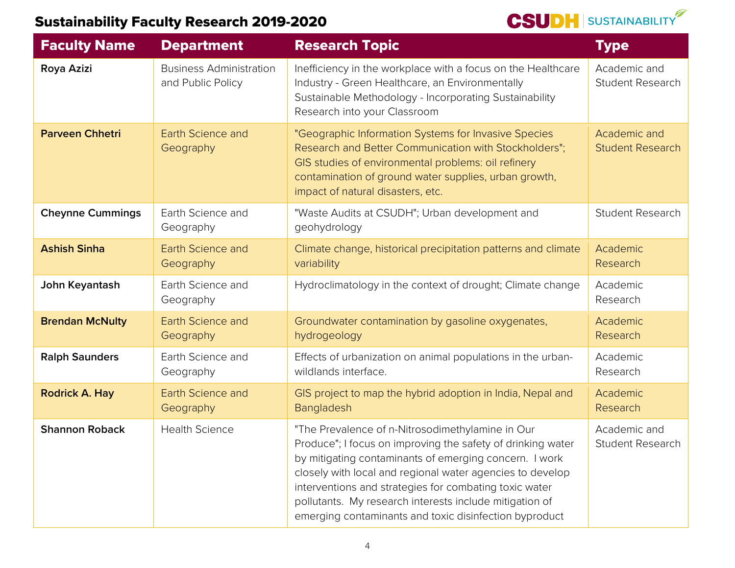| <b>Faculty Name</b>     | <b>Department</b>                                   | <b>Research Topic</b>                                                                                                                                                                                                                                                                                                                                                                                                 | <b>Type</b>                             |
|-------------------------|-----------------------------------------------------|-----------------------------------------------------------------------------------------------------------------------------------------------------------------------------------------------------------------------------------------------------------------------------------------------------------------------------------------------------------------------------------------------------------------------|-----------------------------------------|
| Roya Azizi              | <b>Business Administration</b><br>and Public Policy | Inefficiency in the workplace with a focus on the Healthcare<br>Industry - Green Healthcare, an Environmentally<br>Sustainable Methodology - Incorporating Sustainability<br>Research into your Classroom                                                                                                                                                                                                             | Academic and<br><b>Student Research</b> |
| <b>Parveen Chhetri</b>  | <b>Earth Science and</b><br>Geography               | "Geographic Information Systems for Invasive Species<br>Research and Better Communication with Stockholders";<br>GIS studies of environmental problems: oil refinery<br>contamination of ground water supplies, urban growth,<br>impact of natural disasters, etc.                                                                                                                                                    | Academic and<br><b>Student Research</b> |
| <b>Cheynne Cummings</b> | Earth Science and<br>Geography                      | "Waste Audits at CSUDH"; Urban development and<br>geohydrology                                                                                                                                                                                                                                                                                                                                                        | <b>Student Research</b>                 |
| <b>Ashish Sinha</b>     | <b>Earth Science and</b><br>Geography               | Climate change, historical precipitation patterns and climate<br>variability                                                                                                                                                                                                                                                                                                                                          | Academic<br>Research                    |
| John Keyantash          | Earth Science and<br>Geography                      | Hydroclimatology in the context of drought; Climate change                                                                                                                                                                                                                                                                                                                                                            | Academic<br>Research                    |
| <b>Brendan McNulty</b>  | <b>Earth Science and</b><br>Geography               | Groundwater contamination by gasoline oxygenates,<br>hydrogeology                                                                                                                                                                                                                                                                                                                                                     | Academic<br>Research                    |
| <b>Ralph Saunders</b>   | Earth Science and<br>Geography                      | Effects of urbanization on animal populations in the urban-<br>wildlands interface.                                                                                                                                                                                                                                                                                                                                   | Academic<br>Research                    |
| <b>Rodrick A. Hay</b>   | <b>Earth Science and</b><br>Geography               | GIS project to map the hybrid adoption in India, Nepal and<br>Bangladesh                                                                                                                                                                                                                                                                                                                                              | Academic<br>Research                    |
| <b>Shannon Roback</b>   | <b>Health Science</b>                               | "The Prevalence of n-Nitrosodimethylamine in Our<br>Produce"; I focus on improving the safety of drinking water<br>by mitigating contaminants of emerging concern. I work<br>closely with local and regional water agencies to develop<br>interventions and strategies for combating toxic water<br>pollutants. My research interests include mitigation of<br>emerging contaminants and toxic disinfection byproduct | Academic and<br><b>Student Research</b> |